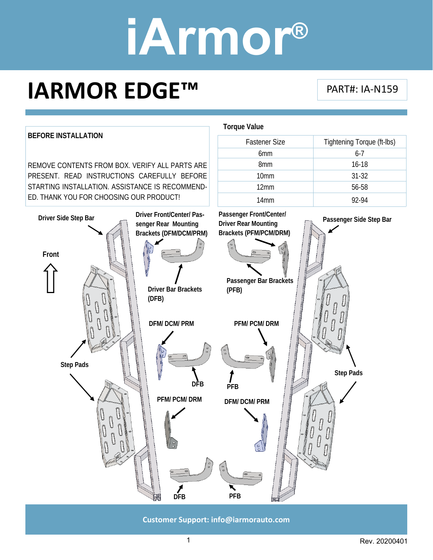### **IARMOR EDGE™**

#### PART#: IA‐N159



**Customer Support: info@iarmorauto.com** 

1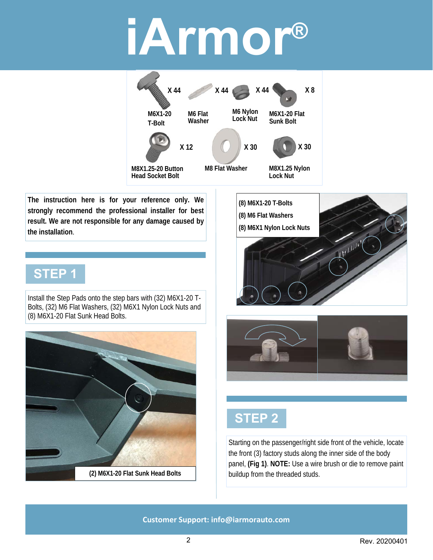

**The instruction here is for your reference only. We strongly recommend the professional installer for best result. We are not responsible for any damage caused by the installation**.

#### **STEP 1**

Install the Step Pads onto the step bars with (32) M6X1-20 T-Bolts, (32) M6 Flat Washers, (32) M6X1 Nylon Lock Nuts and (8) M6X1-20 Flat Sunk Head Bolts.









Starting on the passenger/right side front of the vehicle, locate the front (3) factory studs along the inner side of the body panel, **(Fig 1)**. **NOTE:** Use a wire brush or die to remove paint buildup from the threaded studs.

**Customer Support: info@iarmorauto.com**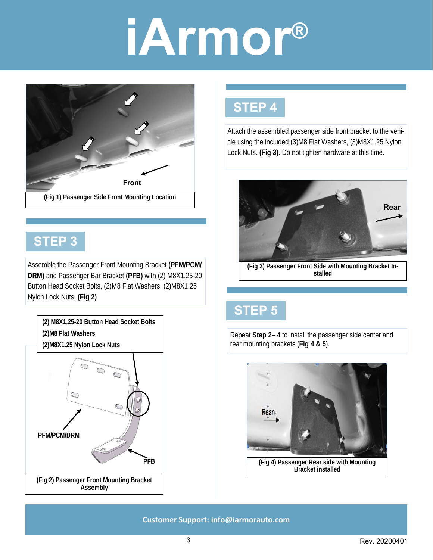

#### **STEP 3**

Assemble the Passenger Front Mounting Bracket **(PFM/PCM/ DRM)** and Passenger Bar Bracket **(PFB)** with (2) M8X1.25-20 Button Head Socket Bolts, (2)M8 Flat Washers, (2)M8X1.25 Nylon Lock Nuts. **(Fig 2)**



#### **STEP 4**

Attach the assembled passenger side front bracket to the vehicle using the included (3)M8 Flat Washers, (3)M8X1.25 Nylon Lock Nuts. **(Fig 3)**. Do not tighten hardware at this time.



**(Fig 3) Passenger Front Side with Mounting Bracket Installed** 

### **STEP 5**

Repeat **Step 2– 4** to install the passenger side center and rear mounting brackets (**Fig 4 & 5**).



**(Fig 4) Passenger Rear side with Mounting Bracket installed** 

**Customer Support: info@iarmorauto.com**